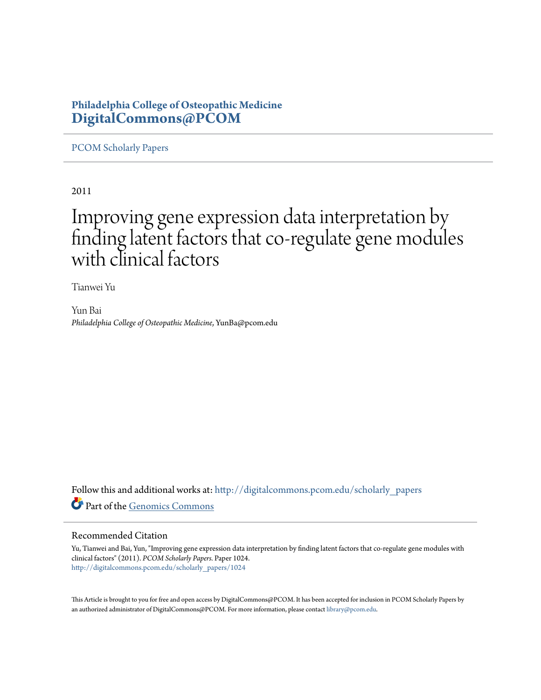# **Philadelphia College of Osteopathic Medicine [DigitalCommons@PCOM](http://digitalcommons.pcom.edu?utm_source=digitalcommons.pcom.edu%2Fscholarly_papers%2F1024&utm_medium=PDF&utm_campaign=PDFCoverPages)**

[PCOM Scholarly Papers](http://digitalcommons.pcom.edu/scholarly_papers?utm_source=digitalcommons.pcom.edu%2Fscholarly_papers%2F1024&utm_medium=PDF&utm_campaign=PDFCoverPages)

2011

# Improving gene expression data interpretation by finding latent factors that co-regulate gene modules with clinical factors

Tianwei Yu

Yun Bai *Philadelphia College of Osteopathic Medicine*, YunBa@pcom.edu

Follow this and additional works at: [http://digitalcommons.pcom.edu/scholarly\\_papers](http://digitalcommons.pcom.edu/scholarly_papers?utm_source=digitalcommons.pcom.edu%2Fscholarly_papers%2F1024&utm_medium=PDF&utm_campaign=PDFCoverPages) Part of the [Genomics Commons](http://network.bepress.com/hgg/discipline/30?utm_source=digitalcommons.pcom.edu%2Fscholarly_papers%2F1024&utm_medium=PDF&utm_campaign=PDFCoverPages)

# Recommended Citation

Yu, Tianwei and Bai, Yun, "Improving gene expression data interpretation by finding latent factors that co-regulate gene modules with clinical factors" (2011). *PCOM Scholarly Papers.* Paper 1024. [http://digitalcommons.pcom.edu/scholarly\\_papers/1024](http://digitalcommons.pcom.edu/scholarly_papers/1024?utm_source=digitalcommons.pcom.edu%2Fscholarly_papers%2F1024&utm_medium=PDF&utm_campaign=PDFCoverPages)

This Article is brought to you for free and open access by DigitalCommons@PCOM. It has been accepted for inclusion in PCOM Scholarly Papers by an authorized administrator of DigitalCommons@PCOM. For more information, please contact [library@pcom.edu.](mailto:library@pcom.edu)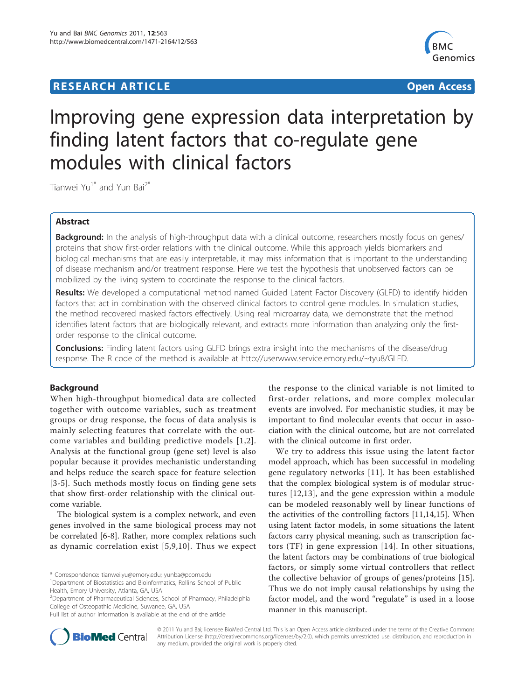# **RESEARCH ARTICLE External Structure Control Control Control Control Control Control Control Control Control Control Control Control Control Control Control Control Control Control Control Control Control Control Control**



# Improving gene expression data interpretation by finding latent factors that co-regulate gene modules with clinical factors

Tianwei Yu<sup>1\*</sup> and Yun Bai<sup>2\*</sup>

## Abstract

**Background:** In the analysis of high-throughput data with a clinical outcome, researchers mostly focus on genes/ proteins that show first-order relations with the clinical outcome. While this approach yields biomarkers and biological mechanisms that are easily interpretable, it may miss information that is important to the understanding of disease mechanism and/or treatment response. Here we test the hypothesis that unobserved factors can be mobilized by the living system to coordinate the response to the clinical factors.

Results: We developed a computational method named Guided Latent Factor Discovery (GLFD) to identify hidden factors that act in combination with the observed clinical factors to control gene modules. In simulation studies, the method recovered masked factors effectively. Using real microarray data, we demonstrate that the method identifies latent factors that are biologically relevant, and extracts more information than analyzing only the firstorder response to the clinical outcome.

Conclusions: Finding latent factors using GLFD brings extra insight into the mechanisms of the disease/drug response. The R code of the method is available at [http://userwww.service.emory.edu/~tyu8/GLFD.](http://userwww.service.emory.edu/~tyu8/GLFD)

## Background

When high-throughput biomedical data are collected together with outcome variables, such as treatment groups or drug response, the focus of data analysis is mainly selecting features that correlate with the outcome variables and building predictive models [[1](#page-11-0),[2\]](#page-11-0). Analysis at the functional group (gene set) level is also popular because it provides mechanistic understanding and helps reduce the search space for feature selection [[3](#page-11-0)-[5\]](#page-11-0). Such methods mostly focus on finding gene sets that show first-order relationship with the clinical outcome variable.

The biological system is a complex network, and even genes involved in the same biological process may not be correlated [[6-8](#page-11-0)]. Rather, more complex relations such as dynamic correlation exist [[5](#page-11-0),[9,10\]](#page-11-0). Thus we expect

\* Correspondence: [tianwei.yu@emory.edu](mailto:tianwei.yu@emory.edu); [yunba@pcom.edu](mailto:yunba@pcom.edu)

the response to the clinical variable is not limited to first-order relations, and more complex molecular events are involved. For mechanistic studies, it may be important to find molecular events that occur in association with the clinical outcome, but are not correlated with the clinical outcome in first order.

We try to address this issue using the latent factor model approach, which has been successful in modeling gene regulatory networks [[11\]](#page-11-0). It has been established that the complex biological system is of modular structures [\[12](#page-11-0),[13\]](#page-11-0), and the gene expression within a module can be modeled reasonably well by linear functions of the activities of the controlling factors [[11,14,15\]](#page-11-0). When using latent factor models, in some situations the latent factors carry physical meaning, such as transcription factors (TF) in gene expression [[14](#page-11-0)]. In other situations, the latent factors may be combinations of true biological factors, or simply some virtual controllers that reflect the collective behavior of groups of genes/proteins [\[15](#page-11-0)]. Thus we do not imply causal relationships by using the factor model, and the word "regulate" is used in a loose manner in this manuscript.



© 2011 Yu and Bai; licensee BioMed Central Ltd. This is an Open Access article distributed under the terms of the Creative Commons Attribution License [\(http://creativecommons.org/licenses/by/2.0](http://creativecommons.org/licenses/by/2.0)), which permits unrestricted use, distribution, and reproduction in any medium, provided the original work is properly cited.

<sup>&</sup>lt;sup>1</sup>Department of Biostatistics and Bioinformatics, Rollins School of Public Health, Emory University, Atlanta, GA, USA

<sup>2</sup> Department of Pharmaceutical Sciences, School of Pharmacy, Philadelphia College of Osteopathic Medicine, Suwanee, GA, USA

Full list of author information is available at the end of the article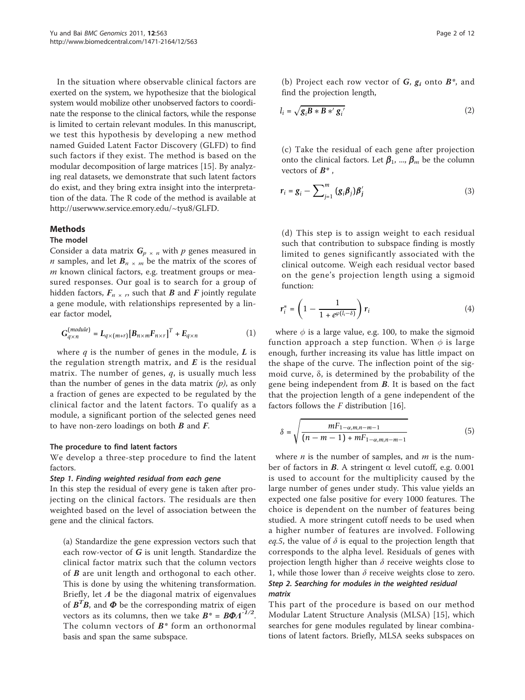In the situation where observable clinical factors are exerted on the system, we hypothesize that the biological system would mobilize other unobserved factors to coordinate the response to the clinical factors, while the response is limited to certain relevant modules. In this manuscript, we test this hypothesis by developing a new method named Guided Latent Factor Discovery (GLFD) to find such factors if they exist. The method is based on the modular decomposition of large matrices [[15](#page-11-0)]. By analyzing real datasets, we demonstrate that such latent factors do exist, and they bring extra insight into the interpretation of the data. The R code of the method is available at <http://userwww.service.emory.edu/~tyu8/GLFD>.

#### **Methods**

#### The model

Consider a data matrix  $G_{p \times n}$  with p genes measured in *n* samples, and let  $B_{n \times m}$  be the matrix of the scores of  $m$  known clinical factors, e.g. treatment groups or measured responses. Our goal is to search for a group of hidden factors,  $F_{n \times r}$ , such that **B** and **F** jointly regulate a gene module, with relationships represented by a linear factor model,

$$
\mathbf{G}_{q \times n}^{(module)} = \mathbf{L}_{q \times (m+r)} [\mathbf{B}_{n \times m} \mathbf{F}_{n \times r}]^T + \mathbf{E}_{q \times n}
$$
 (1)

where  $q$  is the number of genes in the module,  $L$  is the regulation strength matrix, and  $E$  is the residual matrix. The number of genes,  $q$ , is usually much less than the number of genes in the data matrix  $(p)$ , as only a fraction of genes are expected to be regulated by the clinical factor and the latent factors. To qualify as a module, a significant portion of the selected genes need to have non-zero loadings on both  $B$  and  $F$ .

#### The procedure to find latent factors

We develop a three-step procedure to find the latent factors.

#### Step 1. Finding weighted residual from each gene

In this step the residual of every gene is taken after projecting on the clinical factors. The residuals are then weighted based on the level of association between the gene and the clinical factors.

(a) Standardize the gene expression vectors such that each row-vector of  $G$  is unit length. Standardize the clinical factor matrix such that the column vectors of  $\bm{B}$  are unit length and orthogonal to each other. This is done by using the whitening transformation. Briefly, let  $\Lambda$  be the diagonal matrix of eigenvalues of  $B^T B$ , and  $\Phi$  be the corresponding matrix of eigen<br>vectors as its columns, then we take  $B^* - B \Phi A^{-1/2}$ vectors as its columns, then we take  $B^* = B\Phi A^{-1/2}$ . The column vectors of  $B^*$  form an orthonormal basis and span the same subspace.

(b) Project each row vector of  $G$ ,  $g_i$  onto  $B^*$ , and find the projection length,

$$
l_i = \sqrt{g_i B * B *' g_i'}
$$
 (2)

(c) Take the residual of each gene after projection onto the clinical factors. Let  $\beta_1$ , ...,  $\beta_m$  be the column vectors of  $B^*$ ,

$$
r_i = g_i - \sum_{j=1}^m (g_i \beta_j) \beta'_j \tag{3}
$$

(d) This step is to assign weight to each residual such that contribution to subspace finding is mostly limited to genes significantly associated with the clinical outcome. Weigh each residual vector based on the gene's projection length using a sigmoid function:

$$
r_i^* = \left(1 - \frac{1}{1 + e^{\varphi(l_i - \delta)}}\right) r_i \tag{4}
$$

where  $\phi$  is a large value, e.g. 100, to make the sigmoid function approach a step function. When  $\phi$  is large enough, further increasing its value has little impact on the shape of the curve. The inflection point of the sigmoid curve, δ, is determined by the probability of the gene being independent from  $\bm{B}$ . It is based on the fact that the projection length of a gene independent of the factors follows the  $F$  distribution [\[16](#page-11-0)].

$$
\delta = \sqrt{\frac{mF_{1-\alpha,m,n-m-1}}{(n-m-1)+mF_{1-\alpha,m,n-m-1}}}
$$
(5)

where *n* is the number of samples, and  $m$  is the number of factors in **B**. A stringent  $\alpha$  level cutoff, e.g. 0.001 is used to account for the multiplicity caused by the large number of genes under study. This value yields an expected one false positive for every 1000 features. The choice is dependent on the number of features being studied. A more stringent cutoff needs to be used when a higher number of features are involved. Following eq.5, the value of  $\delta$  is equal to the projection length that corresponds to the alpha level. Residuals of genes with projection length higher than  $\delta$  receive weights close to 1, while those lower than  $\delta$  receive weights close to zero. Step 2. Searching for modules in the weighted residual matrix

This part of the procedure is based on our method Modular Latent Structure Analysis (MLSA) [[15\]](#page-11-0), which searches for gene modules regulated by linear combinations of latent factors. Briefly, MLSA seeks subspaces on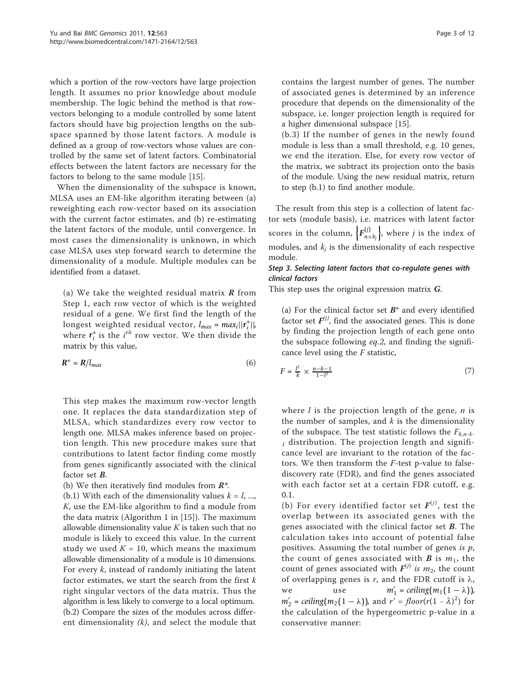which a portion of the row-vectors have large projection length. It assumes no prior knowledge about module membership. The logic behind the method is that rowvectors belonging to a module controlled by some latent factors should have big projection lengths on the subspace spanned by those latent factors. A module is defined as a group of row-vectors whose values are controlled by the same set of latent factors. Combinatorial effects between the latent factors are necessary for the factors to belong to the same module [[15](#page-11-0)].

When the dimensionality of the subspace is known, MLSA uses an EM-like algorithm iterating between (a) reweighting each row-vector based on its association with the current factor estimates, and (b) re-estimating the latent factors of the module, until convergence. In most cases the dimensionality is unknown, in which case MLSA uses step forward search to determine the dimensionality of a module. Multiple modules can be identified from a dataset.

(a) We take the weighted residual matrix  $R$  from Step 1, each row vector of which is the weighted residual of a gene. We first find the length of the longest weighted residual vector,  $l_{max} = max_i ||r_i^*||$ where  $r_i^*$  is the  $i^{th}$  row vector. We then divide the matrix by this value,

$$
R^* = R/l_{max} \tag{6}
$$

This step makes the maximum row-vector length one. It replaces the data standardization step of MLSA, which standardizes every row vector to length one. MLSA makes inference based on projection length. This new procedure makes sure that contributions to latent factor finding come mostly from genes significantly associated with the clinical factor set B.

(b) We then iteratively find modules from  $R^*$ .

(b.1) With each of the dimensionality values  $k = l, ...,$ K, use the EM-like algorithm to find a module from the data matrix (Algorithm 1 in [\[15](#page-11-0)]). The maximum allowable dimensionality value  $K$  is taken such that no module is likely to exceed this value. In the current study we used  $K = 10$ , which means the maximum allowable dimensionality of a module is 10 dimensions. For every  $k$ , instead of randomly initiating the latent factor estimates, we start the search from the first  $k$ right singular vectors of the data matrix. Thus the algorithm is less likely to converge to a local optimum. (b.2) Compare the sizes of the modules across different dimensionality  $(k)$ , and select the module that contains the largest number of genes. The number of associated genes is determined by an inference procedure that depends on the dimensionality of the subspace, i.e. longer projection length is required for a higher dimensional subspace [[15](#page-11-0)].

(b.3) If the number of genes in the newly found module is less than a small threshold, e.g. 10 genes, we end the iteration. Else, for every row vector of the matrix, we subtract its projection onto the basis of the module. Using the new residual matrix, return to step (b.1) to find another module.

The result from this step is a collection of latent factor sets (module basis), i.e. matrices with latent factor scores in the column,  $\left\{ F_{n\times k_{j}}^{(j)}\right\}$  $\left\{$ , where *j* is the index of modules, and  $k_i$  is the dimensionality of each respective module.

# Step 3. Selecting latent factors that co-regulate genes with clinical factors

This step uses the original expression matrix G.

(a) For the clinical factor set  $B^*$  and every identified factor set  $F^{(j)}$ , find the associated genes. This is done by finding the projection length of each gene onto the subspace following eq.2, and finding the significance level using the  $F$  statistic,

$$
F = \frac{l^2}{k} \times \frac{n - k - 1}{1 - l^2} \tag{7}
$$

where  $l$  is the projection length of the gene,  $n$  is the number of samples, and  $k$  is the dimensionality of the subspace. The test statistic follows the  $F_{k,n-k-1}$  $<sub>1</sub>$  distribution. The projection length and signifi-</sub> cance level are invariant to the rotation of the factors. We then transform the F-test p-value to falsediscovery rate (FDR), and find the genes associated with each factor set at a certain FDR cutoff, e.g. 0.1.

(b) For every identified factor set  $F^{(j)}$ , test the overlap between its associated genes with the overlap between its associated genes with the genes associated with the clinical factor set  $B$ . The calculation takes into account of potential false positives. Assuming the total number of genes is  $p$ , the count of genes associated with  $B$  is  $m_1$ , the count of genes associated with  $F^{(j)}$  is  $m_2$ , the count of overlapping genes is r, and the FDR cutoff is  $\lambda$ , we use *m*  $m'_1 =$  *ceiling* $(m_1(1 - \lambda))$ ,  $m'_2 = ceiling(m_2(1 - \lambda))$ , and  $r' = floor(r(1 - \lambda)^2)$  for the calculation of the hypergeometric p-value in a conservative manner: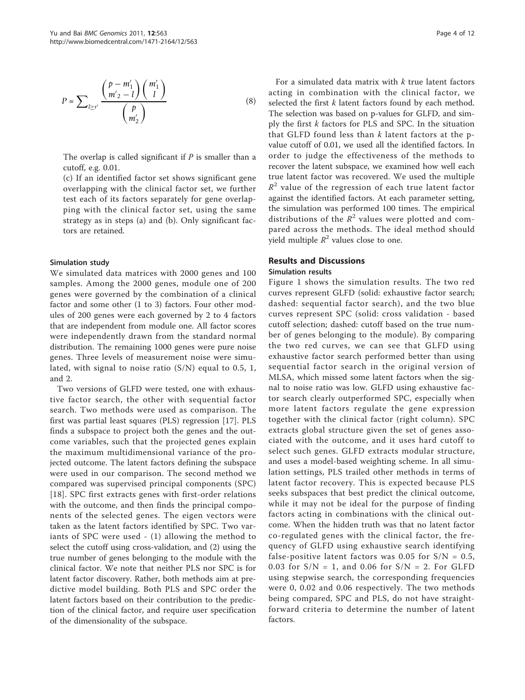$$
P = \sum_{l \ge r'} \frac{\binom{p - m'_1}{m'_2 - l} \binom{m'_1}{l}}{\binom{p}{m'_2}}
$$
(8)

The overlap is called significant if  $P$  is smaller than a cutoff, e.g. 0.01.

(c) If an identified factor set shows significant gene overlapping with the clinical factor set, we further test each of its factors separately for gene overlapping with the clinical factor set, using the same strategy as in steps (a) and (b). Only significant factors are retained.

#### Simulation study

We simulated data matrices with 2000 genes and 100 samples. Among the 2000 genes, module one of 200 genes were governed by the combination of a clinical factor and some other (1 to 3) factors. Four other modules of 200 genes were each governed by 2 to 4 factors that are independent from module one. All factor scores were independently drawn from the standard normal distribution. The remaining 1000 genes were pure noise genes. Three levels of measurement noise were simulated, with signal to noise ratio (S/N) equal to 0.5, 1, and 2.

Two versions of GLFD were tested, one with exhaustive factor search, the other with sequential factor search. Two methods were used as comparison. The first was partial least squares (PLS) regression [[17\]](#page-11-0). PLS finds a subspace to project both the genes and the outcome variables, such that the projected genes explain the maximum multidimensional variance of the projected outcome. The latent factors defining the subspace were used in our comparison. The second method we compared was supervised principal components (SPC) [[18](#page-11-0)]. SPC first extracts genes with first-order relations with the outcome, and then finds the principal components of the selected genes. The eigen vectors were taken as the latent factors identified by SPC. Two variants of SPC were used - (1) allowing the method to select the cutoff using cross-validation, and (2) using the true number of genes belonging to the module with the clinical factor. We note that neither PLS nor SPC is for latent factor discovery. Rather, both methods aim at predictive model building. Both PLS and SPC order the latent factors based on their contribution to the prediction of the clinical factor, and require user specification of the dimensionality of the subspace.

For a simulated data matrix with  $k$  true latent factors acting in combination with the clinical factor, we selected the first  $k$  latent factors found by each method. The selection was based on p-values for GLFD, and simply the first k factors for PLS and SPC. In the situation that GLFD found less than  $k$  latent factors at the pvalue cutoff of 0.01, we used all the identified factors. In order to judge the effectiveness of the methods to recover the latent subspace, we examined how well each true latent factor was recovered. We used the multiple  $R<sup>2</sup>$  value of the regression of each true latent factor against the identified factors. At each parameter setting, the simulation was performed 100 times. The empirical distributions of the  $R^2$  values were plotted and compared across the methods. The ideal method should yield multiple  $R^2$  values close to one.

#### Results and Discussions

#### Simulation results

Figure [1](#page-5-0) shows the simulation results. The two red curves represent GLFD (solid: exhaustive factor search; dashed: sequential factor search), and the two blue curves represent SPC (solid: cross validation - based cutoff selection; dashed: cutoff based on the true number of genes belonging to the module). By comparing the two red curves, we can see that GLFD using exhaustive factor search performed better than using sequential factor search in the original version of MLSA, which missed some latent factors when the signal to noise ratio was low. GLFD using exhaustive factor search clearly outperformed SPC, especially when more latent factors regulate the gene expression together with the clinical factor (right column). SPC extracts global structure given the set of genes associated with the outcome, and it uses hard cutoff to select such genes. GLFD extracts modular structure, and uses a model-based weighting scheme. In all simulation settings, PLS trailed other methods in terms of latent factor recovery. This is expected because PLS seeks subspaces that best predict the clinical outcome, while it may not be ideal for the purpose of finding factors acting in combinations with the clinical outcome. When the hidden truth was that no latent factor co-regulated genes with the clinical factor, the frequency of GLFD using exhaustive search identifying false-positive latent factors was 0.05 for  $S/N = 0.5$ , 0.03 for  $S/N = 1$ , and 0.06 for  $S/N = 2$ . For GLFD using stepwise search, the corresponding frequencies were 0, 0.02 and 0.06 respectively. The two methods being compared, SPC and PLS, do not have straightforward criteria to determine the number of latent factors.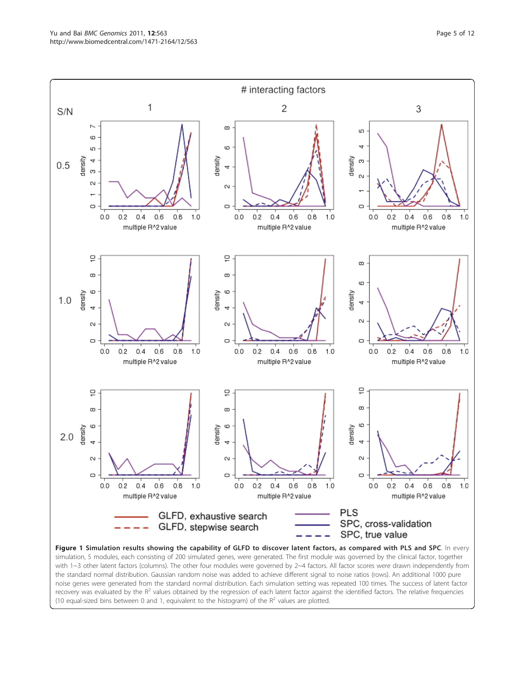<span id="page-5-0"></span>

(10 equal-sized bins between 0 and 1, equivalent to the histogram) of the  $R^2$  values are plotted.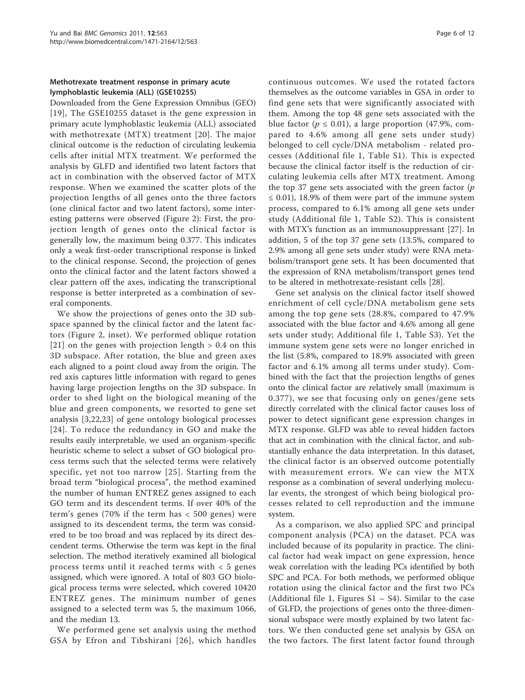# Methotrexate treatment response in primary acute lymphoblastic leukemia (ALL) (GSE10255)

Downloaded from the Gene Expression Omnibus (GEO) [[19](#page-11-0)], The GSE10255 dataset is the gene expression in primary acute lymphoblastic leukemia (ALL) associated with methotrexate (MTX) treatment [[20](#page-11-0)]. The major clinical outcome is the reduction of circulating leukemia cells after initial MTX treatment. We performed the analysis by GLFD and identified two latent factors that act in combination with the observed factor of MTX response. When we examined the scatter plots of the projection lengths of all genes onto the three factors (one clinical factor and two latent factors), some interesting patterns were observed (Figure [2\)](#page-7-0): First, the projection length of genes onto the clinical factor is generally low, the maximum being 0.377. This indicates only a weak first-order transcriptional response is linked to the clinical response. Second, the projection of genes onto the clinical factor and the latent factors showed a clear pattern off the axes, indicating the transcriptional response is better interpreted as a combination of several components.

We show the projections of genes onto the 3D subspace spanned by the clinical factor and the latent factors (Figure [2,](#page-7-0) inset). We performed oblique rotation [[21](#page-11-0)] on the genes with projection length  $> 0.4$  on this 3D subspace. After rotation, the blue and green axes each aligned to a point cloud away from the origin. The red axis captures little information with regard to genes having large projection lengths on the 3D subspace. In order to shed light on the biological meaning of the blue and green components, we resorted to gene set analysis [[3,22](#page-11-0),[23\]](#page-11-0) of gene ontology biological processes [[24\]](#page-11-0). To reduce the redundancy in GO and make the results easily interpretable, we used an organism-specific heuristic scheme to select a subset of GO biological process terms such that the selected terms were relatively specific, yet not too narrow [[25\]](#page-11-0). Starting from the broad term "biological process", the method examined the number of human ENTREZ genes assigned to each GO term and its descendent terms. If over 40% of the term's genes (70% if the term has < 500 genes) were assigned to its descendent terms, the term was considered to be too broad and was replaced by its direct descendent terms. Otherwise the term was kept in the final selection. The method iteratively examined all biological process terms until it reached terms with < 5 genes assigned, which were ignored. A total of 803 GO biological process terms were selected, which covered 10420 ENTREZ genes. The minimum number of genes assigned to a selected term was 5, the maximum 1066, and the median 13.

We performed gene set analysis using the method GSA by Efron and Tibshirani [[26](#page-11-0)], which handles

continuous outcomes. We used the rotated factors themselves as the outcome variables in GSA in order to find gene sets that were significantly associated with them. Among the top 48 gene sets associated with the blue factor ( $p \le 0.01$ ), a large proportion (47.9%, compared to 4.6% among all gene sets under study) belonged to cell cycle/DNA metabolism - related processes (Additional file [1](#page-11-0), Table S1). This is expected because the clinical factor itself is the reduction of circulating leukemia cells after MTX treatment. Among the top 37 gene sets associated with the green factor  $(p)$  $\leq$  0.01), 18.9% of them were part of the immune system process, compared to 6.1% among all gene sets under study (Additional file [1](#page-11-0), Table S2). This is consistent with MTX's function as an immunosuppressant [\[27](#page-11-0)]. In addition, 5 of the top 37 gene sets (13.5%, compared to 2.9% among all gene sets under study) were RNA metabolism/transport gene sets. It has been documented that the expression of RNA metabolism/transport genes tend to be altered in methotrexate-resistant cells [[28\]](#page-11-0).

Gene set analysis on the clinical factor itself showed enrichment of cell cycle/DNA metabolism gene sets among the top gene sets (28.8%, compared to 47.9% associated with the blue factor and 4.6% among all gene sets under study; Additional file [1,](#page-11-0) Table S3). Yet the immune system gene sets were no longer enriched in the list (5.8%, compared to 18.9% associated with green factor and 6.1% among all terms under study). Combined with the fact that the projection lengths of genes onto the clinical factor are relatively small (maximum is 0.377), we see that focusing only on genes/gene sets directly correlated with the clinical factor causes loss of power to detect significant gene expression changes in MTX response. GLFD was able to reveal hidden factors that act in combination with the clinical factor, and substantially enhance the data interpretation. In this dataset, the clinical factor is an observed outcome potentially with measurement errors. We can view the MTX response as a combination of several underlying molecular events, the strongest of which being biological processes related to cell reproduction and the immune system.

As a comparison, we also applied SPC and principal component analysis (PCA) on the dataset. PCA was included because of its popularity in practice. The clinical factor had weak impact on gene expression, hence weak correlation with the leading PCs identified by both SPC and PCA. For both methods, we performed oblique rotation using the clinical factor and the first two PCs (Additional file [1](#page-11-0), Figures S1  $\sim$  S4). Similar to the case of GLFD, the projections of genes onto the three-dimensional subspace were mostly explained by two latent factors. We then conducted gene set analysis by GSA on the two factors. The first latent factor found through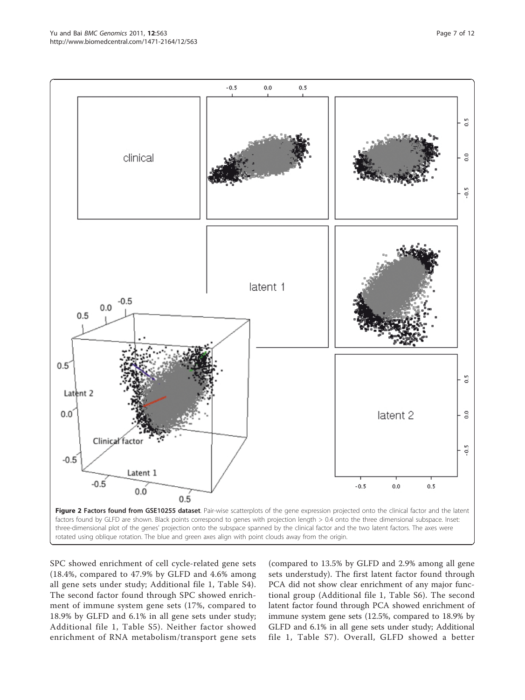<span id="page-7-0"></span>

SPC showed enrichment of cell cycle-related gene sets (18.4%, compared to 47.9% by GLFD and 4.6% among all gene sets under study; Additional file [1](#page-11-0), Table S4). The second factor found through SPC showed enrichment of immune system gene sets (17%, compared to 18.9% by GLFD and 6.1% in all gene sets under study; Additional file [1](#page-11-0), Table S5). Neither factor showed enrichment of RNA metabolism/transport gene sets

(compared to 13.5% by GLFD and 2.9% among all gene sets understudy). The first latent factor found through PCA did not show clear enrichment of any major functional group (Additional file [1,](#page-11-0) Table S6). The second latent factor found through PCA showed enrichment of immune system gene sets (12.5%, compared to 18.9% by GLFD and 6.1% in all gene sets under study; Additional file [1,](#page-11-0) Table S7). Overall, GLFD showed a better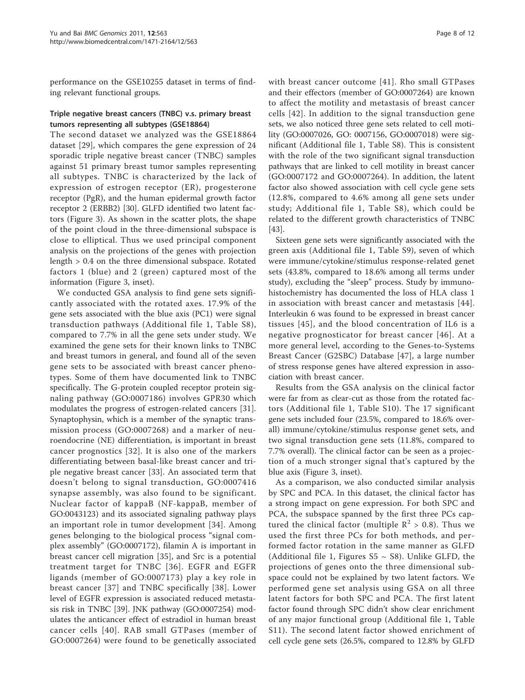performance on the GSE10255 dataset in terms of finding relevant functional groups.

## Triple negative breast cancers (TNBC) v.s. primary breast tumors representing all subtypes (GSE18864)

The second dataset we analyzed was the GSE18864 dataset [\[29](#page-11-0)], which compares the gene expression of 24 sporadic triple negative breast cancer (TNBC) samples against 51 primary breast tumor samples representing all subtypes. TNBC is characterized by the lack of expression of estrogen receptor (ER), progesterone receptor (PgR), and the human epidermal growth factor receptor 2 (ERBB2) [[30\]](#page-11-0). GLFD identified two latent factors (Figure [3\)](#page-9-0). As shown in the scatter plots, the shape of the point cloud in the three-dimensional subspace is close to elliptical. Thus we used principal component analysis on the projections of the genes with projection length > 0.4 on the three dimensional subspace. Rotated factors 1 (blue) and 2 (green) captured most of the information (Figure [3](#page-9-0), inset).

We conducted GSA analysis to find gene sets significantly associated with the rotated axes. 17.9% of the gene sets associated with the blue axis (PC1) were signal transduction pathways (Additional file [1](#page-11-0), Table S8), compared to 7.7% in all the gene sets under study. We examined the gene sets for their known links to TNBC and breast tumors in general, and found all of the seven gene sets to be associated with breast cancer phenotypes. Some of them have documented link to TNBC specifically. The G-protein coupled receptor protein signaling pathway (GO:0007186) involves GPR30 which modulates the progress of estrogen-related cancers [\[31](#page-11-0)]. Synaptophysin, which is a member of the synaptic transmission process (GO:0007268) and a marker of neuroendocrine (NE) differentiation, is important in breast cancer prognostics [[32](#page-11-0)]. It is also one of the markers differentiating between basal-like breast cancer and triple negative breast cancer [[33\]](#page-11-0). An associated term that doesn't belong to signal transduction, GO:0007416 synapse assembly, was also found to be significant. Nuclear factor of kappaB (NF-kappaB, member of GO:0043123) and its associated signaling pathway plays an important role in tumor development [[34](#page-11-0)]. Among genes belonging to the biological process "signal complex assembly" (GO:0007172), filamin A is important in breast cancer cell migration [\[35](#page-11-0)], and Src is a potential treatment target for TNBC [[36](#page-11-0)]. EGFR and EGFR ligands (member of GO:0007173) play a key role in breast cancer [[37](#page-11-0)] and TNBC specifically [[38](#page-11-0)]. Lower level of EGFR expression is associated reduced metastasis risk in TNBC [\[39](#page-11-0)]. JNK pathway (GO:0007254) modulates the anticancer effect of estradiol in human breast cancer cells [[40\]](#page-11-0). RAB small GTPases (member of GO:0007264) were found to be genetically associated with breast cancer outcome [[41](#page-11-0)]. Rho small GTPases and their effectors (member of GO:0007264) are known to affect the motility and metastasis of breast cancer cells [[42](#page-11-0)]. In addition to the signal transduction gene sets, we also noticed three gene sets related to cell motility (GO:0007026, GO: 0007156, GO:0007018) were significant (Additional file [1](#page-11-0), Table S8). This is consistent with the role of the two significant signal transduction pathways that are linked to cell motility in breast cancer (GO:0007172 and GO:0007264). In addition, the latent factor also showed association with cell cycle gene sets (12.8%, compared to 4.6% among all gene sets under study; Additional file [1](#page-11-0), Table S8), which could be related to the different growth characteristics of TNBC [[43\]](#page-12-0).

Sixteen gene sets were significantly associated with the green axis (Additional file [1](#page-11-0), Table S9), seven of which were immune/cytokine/stimulus response-related genet sets (43.8%, compared to 18.6% among all terms under study), excluding the "sleep" process. Study by immunohistochemistry has documented the loss of HLA class 1 in association with breast cancer and metastasis [[44](#page-12-0)]. Interleukin 6 was found to be expressed in breast cancer tissues [[45\]](#page-12-0), and the blood concentration of IL6 is a negative prognosticator for breast cancer [[46\]](#page-12-0). At a more general level, according to the Genes-to-Systems Breast Cancer (G2SBC) Database [[47](#page-12-0)], a large number of stress response genes have altered expression in association with breast cancer.

Results from the GSA analysis on the clinical factor were far from as clear-cut as those from the rotated factors (Additional file [1](#page-11-0), Table S10). The 17 significant gene sets included four (23.5%, compared to 18.6% overall) immune/cytokine/stimulus response genet sets, and two signal transduction gene sets (11.8%, compared to 7.7% overall). The clinical factor can be seen as a projection of a much stronger signal that's captured by the blue axis (Figure [3,](#page-9-0) inset).

As a comparison, we also conducted similar analysis by SPC and PCA. In this dataset, the clinical factor has a strong impact on gene expression. For both SPC and PCA, the subspace spanned by the first three PCs captured the clinical factor (multiple  $\mathbb{R}^2 > 0.8$ ). Thus we used the first three PCs for both methods, and performed factor rotation in the same manner as GLFD (Additional file [1,](#page-11-0) Figures  $55 \sim S_8$ ). Unlike GLFD, the projections of genes onto the three dimensional subspace could not be explained by two latent factors. We performed gene set analysis using GSA on all three latent factors for both SPC and PCA. The first latent factor found through SPC didn't show clear enrichment of any major functional group (Additional file [1](#page-11-0), Table S11). The second latent factor showed enrichment of cell cycle gene sets (26.5%, compared to 12.8% by GLFD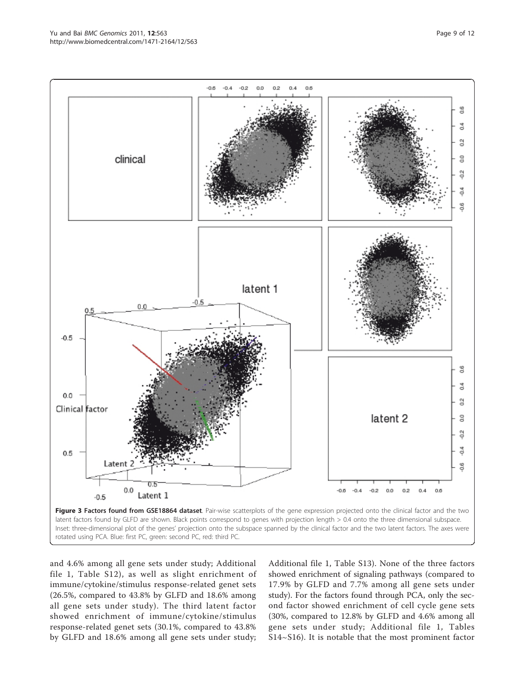<span id="page-9-0"></span>

and 4.6% among all gene sets under study; Additional file [1,](#page-11-0) Table S12), as well as slight enrichment of immune/cytokine/stimulus response-related genet sets (26.5%, compared to 43.8% by GLFD and 18.6% among all gene sets under study). The third latent factor showed enrichment of immune/cytokine/stimulus response-related genet sets (30.1%, compared to 43.8% by GLFD and 18.6% among all gene sets under study;

Additional file [1,](#page-11-0) Table S13). None of the three factors showed enrichment of signaling pathways (compared to 17.9% by GLFD and 7.7% among all gene sets under study). For the factors found through PCA, only the second factor showed enrichment of cell cycle gene sets (30%, compared to 12.8% by GLFD and 4.6% among all gene sets under study; Additional file [1,](#page-11-0) Tables S14~S16). It is notable that the most prominent factor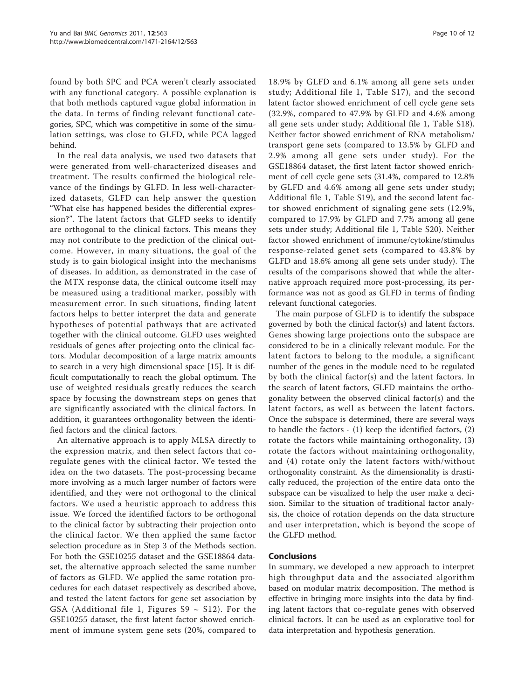found by both SPC and PCA weren't clearly associated with any functional category. A possible explanation is that both methods captured vague global information in the data. In terms of finding relevant functional categories, SPC, which was competitive in some of the simulation settings, was close to GLFD, while PCA lagged behind.

In the real data analysis, we used two datasets that were generated from well-characterized diseases and treatment. The results confirmed the biological relevance of the findings by GLFD. In less well-characterized datasets, GLFD can help answer the question "What else has happened besides the differential expression?". The latent factors that GLFD seeks to identify are orthogonal to the clinical factors. This means they may not contribute to the prediction of the clinical outcome. However, in many situations, the goal of the study is to gain biological insight into the mechanisms of diseases. In addition, as demonstrated in the case of the MTX response data, the clinical outcome itself may be measured using a traditional marker, possibly with measurement error. In such situations, finding latent factors helps to better interpret the data and generate hypotheses of potential pathways that are activated together with the clinical outcome. GLFD uses weighted residuals of genes after projecting onto the clinical factors. Modular decomposition of a large matrix amounts to search in a very high dimensional space [[15](#page-11-0)]. It is difficult computationally to reach the global optimum. The use of weighted residuals greatly reduces the search space by focusing the downstream steps on genes that are significantly associated with the clinical factors. In addition, it guarantees orthogonality between the identified factors and the clinical factors.

An alternative approach is to apply MLSA directly to the expression matrix, and then select factors that coregulate genes with the clinical factor. We tested the idea on the two datasets. The post-processing became more involving as a much larger number of factors were identified, and they were not orthogonal to the clinical factors. We used a heuristic approach to address this issue. We forced the identified factors to be orthogonal to the clinical factor by subtracting their projection onto the clinical factor. We then applied the same factor selection procedure as in Step 3 of the Methods section. For both the GSE10255 dataset and the GSE18864 dataset, the alternative approach selected the same number of factors as GLFD. We applied the same rotation procedures for each dataset respectively as described above, and tested the latent factors for gene set association by GSA (Additional file [1,](#page-11-0) Figures S9  $\sim$  S12). For the GSE10255 dataset, the first latent factor showed enrichment of immune system gene sets (20%, compared to

18.9% by GLFD and 6.1% among all gene sets under study; Additional file [1](#page-11-0), Table S17), and the second latent factor showed enrichment of cell cycle gene sets (32.9%, compared to 47.9% by GLFD and 4.6% among all gene sets under study; Additional file [1](#page-11-0), Table S18). Neither factor showed enrichment of RNA metabolism/ transport gene sets (compared to 13.5% by GLFD and 2.9% among all gene sets under study). For the GSE18864 dataset, the first latent factor showed enrichment of cell cycle gene sets (31.4%, compared to 12.8% by GLFD and 4.6% among all gene sets under study; Additional file [1,](#page-11-0) Table S19), and the second latent factor showed enrichment of signaling gene sets (12.9%, compared to 17.9% by GLFD and 7.7% among all gene sets under study; Additional file [1,](#page-11-0) Table S20). Neither factor showed enrichment of immune/cytokine/stimulus response-related genet sets (compared to 43.8% by GLFD and 18.6% among all gene sets under study). The results of the comparisons showed that while the alternative approach required more post-processing, its performance was not as good as GLFD in terms of finding relevant functional categories.

The main purpose of GLFD is to identify the subspace governed by both the clinical factor(s) and latent factors. Genes showing large projections onto the subspace are considered to be in a clinically relevant module. For the latent factors to belong to the module, a significant number of the genes in the module need to be regulated by both the clinical factor(s) and the latent factors. In the search of latent factors, GLFD maintains the orthogonality between the observed clinical factor(s) and the latent factors, as well as between the latent factors. Once the subspace is determined, there are several ways to handle the factors - (1) keep the identified factors, (2) rotate the factors while maintaining orthogonality, (3) rotate the factors without maintaining orthogonality, and (4) rotate only the latent factors with/without orthogonality constraint. As the dimensionality is drastically reduced, the projection of the entire data onto the subspace can be visualized to help the user make a decision. Similar to the situation of traditional factor analysis, the choice of rotation depends on the data structure and user interpretation, which is beyond the scope of the GLFD method.

## Conclusions

In summary, we developed a new approach to interpret high throughput data and the associated algorithm based on modular matrix decomposition. The method is effective in bringing more insights into the data by finding latent factors that co-regulate genes with observed clinical factors. It can be used as an explorative tool for data interpretation and hypothesis generation.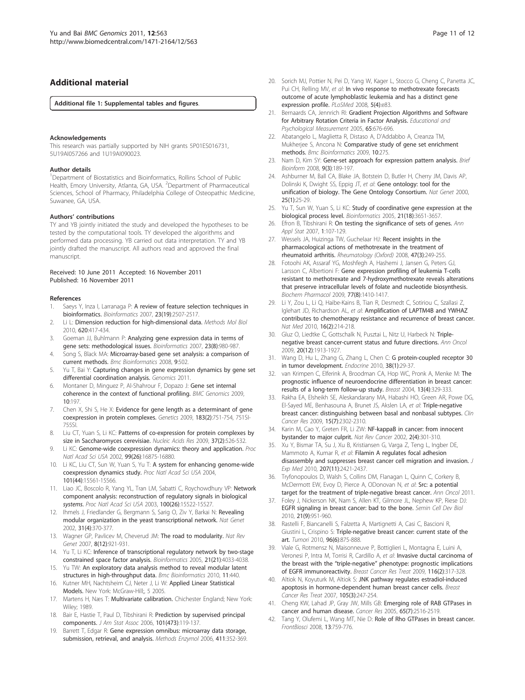## <span id="page-11-0"></span>Additional material

[Additional file 1: S](http://www.biomedcentral.com/content/supplementary/1471-2164-12-563-S1.PDF)upplemental tables and figures.

#### Acknowledgements

This research was partially supported by NIH grants 5P01ES016731, 5U19AI057266 and 1U19AI090023.

#### Author details

<sup>1</sup>Department of Biostatistics and Bioinformatics, Rollins School of Public Health, Emory University, Atlanta, GA, USA. <sup>2</sup>Department of Pharmaceutical Sciences, School of Pharmacy, Philadelphia College of Osteopathic Medicine, Suwanee, GA, USA.

#### Authors' contributions

TY and YB jointly initiated the study and developed the hypotheses to be tested by the computational tools. TY developed the algorithms and performed data processing. YB carried out data interpretation. TY and YB jointly drafted the manuscript. All authors read and approved the final manuscript.

#### Received: 10 June 2011 Accepted: 16 November 2011 Published: 16 November 2011

#### References

- 1. Saeys Y, Inza I, Larranaga P: [A review of feature selection techniques in](http://www.ncbi.nlm.nih.gov/pubmed/17720704?dopt=Abstract) [bioinformatics.](http://www.ncbi.nlm.nih.gov/pubmed/17720704?dopt=Abstract) Bioinformatics 2007, 23(19):2507-2517.
- 2. Li L: [Dimension reduction for high-dimensional data.](http://www.ncbi.nlm.nih.gov/pubmed/20652514?dopt=Abstract) Methods Mol Biol 2010, 620:417-434.
- 3. Goeman JJ, Buhlmann P: [Analyzing gene expression data in terms of](http://www.ncbi.nlm.nih.gov/pubmed/17303618?dopt=Abstract) [gene sets: methodological issues.](http://www.ncbi.nlm.nih.gov/pubmed/17303618?dopt=Abstract) Bioinformatics 2007, 23(8):980-987.
- 4. Song S, Black MA: [Microarray-based gene set analysis: a comparison of](http://www.ncbi.nlm.nih.gov/pubmed/19038052?dopt=Abstract) [current methods.](http://www.ncbi.nlm.nih.gov/pubmed/19038052?dopt=Abstract) Bmc Bioinformatics 2008, 9:502.
- 5. Yu T, Bai Y: Capturing changes in gene expression dynamics by gene set differential coordination analysis. Genomics 2011.
- 6. Montaner D, Minguez P, Al-Shahrour F, Dopazo J: [Gene set internal](http://www.ncbi.nlm.nih.gov/pubmed/19397819?dopt=Abstract) [coherence in the context of functional profiling.](http://www.ncbi.nlm.nih.gov/pubmed/19397819?dopt=Abstract) BMC Genomics 2009, 10:197.
- 7. Chen X, Shi S, He X: [Evidence for gene length as a determinant of gene](http://www.ncbi.nlm.nih.gov/pubmed/19620395?dopt=Abstract) [coexpression in protein complexes.](http://www.ncbi.nlm.nih.gov/pubmed/19620395?dopt=Abstract) Genetics 2009, 183(2):751-754, 751SI-755SI.
- 8. Liu CT, Yuan S, Li KC: [Patterns of co-expression for protein complexes by](http://www.ncbi.nlm.nih.gov/pubmed/19056822?dopt=Abstract) [size in Saccharomyces cerevisiae.](http://www.ncbi.nlm.nih.gov/pubmed/19056822?dopt=Abstract) Nucleic Acids Res 2009, 37(2):526-532.
- 9. Li KC: [Genome-wide coexpression dynamics: theory and application.](http://www.ncbi.nlm.nih.gov/pubmed/12486219?dopt=Abstract) Proc Natl Acad Sci USA 2002, 99(26):16875-16880.
- 10. Li KC, Liu CT, Sun W, Yuan S, Yu T: [A system for enhancing genome-wide](http://www.ncbi.nlm.nih.gov/pubmed/15492223?dopt=Abstract) [coexpression dynamics study.](http://www.ncbi.nlm.nih.gov/pubmed/15492223?dopt=Abstract) Proc Natl Acad Sci USA 2004, 101(44):15561-15566.
- 11. Liao JC, Boscolo R, Yang YL, Tran LM, Sabatti C, Roychowdhury VP: [Network](http://www.ncbi.nlm.nih.gov/pubmed/14673099?dopt=Abstract) [component analysis: reconstruction of regulatory signals in biological](http://www.ncbi.nlm.nih.gov/pubmed/14673099?dopt=Abstract) [systems](http://www.ncbi.nlm.nih.gov/pubmed/14673099?dopt=Abstract). Proc Natl Acad Sci USA 2003, 100(26):15522-15527.
- 12. Ihmels J, Friedlander G, Bergmann S, Sarig O, Ziv Y, Barkai N: [Revealing](http://www.ncbi.nlm.nih.gov/pubmed/12134151?dopt=Abstract) [modular organization in the yeast transcriptional network.](http://www.ncbi.nlm.nih.gov/pubmed/12134151?dopt=Abstract) Nat Genet 2002, 31(4):370-377.
- 13. Wagner GP, Pavlicev M, Cheverud JM: [The road to modularity.](http://www.ncbi.nlm.nih.gov/pubmed/18007649?dopt=Abstract) Nat Rev Genet 2007, 8(12):921-931.
- 14. Yu T, Li KC: [Inference of transcriptional regulatory network by two-stage](http://www.ncbi.nlm.nih.gov/pubmed/16144806?dopt=Abstract) [constrained space factor analysis.](http://www.ncbi.nlm.nih.gov/pubmed/16144806?dopt=Abstract) Bioinformatics 2005, 21(21):4033-4038.
- 15. Yu TW: [An exploratory data analysis method to reveal modular latent](http://www.ncbi.nlm.nih.gov/pubmed/20799972?dopt=Abstract) [structures in high-throughput data.](http://www.ncbi.nlm.nih.gov/pubmed/20799972?dopt=Abstract) Bmc Bioinformatics 2010, 11:440. 16. Kutner MH, Nachtsheim CJ, Neter J, Li W: Applied Linear Statistical
- Models. New York: McGraw-Hill;, 5 2005. 17. Martens H, Næs T: Multivariate calibration. Chichester England; New York:
- Wiley; 1989. 18. Bair E, Hastie T, Paul D, Tibshirani R: Prediction by supervised principal
- components. J Am Stat Assoc 2006, 101(473):119-137.
- 19. Barrett T, Edgar R: [Gene expression omnibus: microarray data storage,](http://www.ncbi.nlm.nih.gov/pubmed/16939800?dopt=Abstract) [submission, retrieval, and analysis.](http://www.ncbi.nlm.nih.gov/pubmed/16939800?dopt=Abstract) Methods Enzymol 2006, 411:352-369.
- 20. Sorich MJ, Pottier N, Pei D, Yang W, Kager L, Stocco G, Cheng C, Panetta JC, Pui CH, Relling MV, et al: In vivo response to methotrexate forecasts outcome of acute lymphoblastic leukemia and has a distinct gene expression profile. PLoSMed 2008, 5(4):e83.
- 21. Bernaards CA, Jennrich RI: Gradient Projection Algorithms and Software for Arbitrary Rotation Criteria in Factor Analysis. Educational and Psychological Measurement 2005, 65:676-696.
- 22. Abatangelo L, Maglietta R, Distaso A, D'Addabbo A, Creanza TM, Mukherjee S, Ancona N: [Comparative study of gene set enrichment](http://www.ncbi.nlm.nih.gov/pubmed/19725948?dopt=Abstract) [methods.](http://www.ncbi.nlm.nih.gov/pubmed/19725948?dopt=Abstract) Bmc Bioinformatics 2009, 10:275.
- 23. Nam D, Kim SY: [Gene-set approach for expression pattern analysis.](http://www.ncbi.nlm.nih.gov/pubmed/18202032?dopt=Abstract) Brief Bioinform 2008, 9(3):189-197.
- 24. Ashburner M, Ball CA, Blake JA, Botstein D, Butler H, Cherry JM, Davis AP, Dolinski K, Dwight SS, Eppig JT, et al: [Gene ontology: tool for the](http://www.ncbi.nlm.nih.gov/pubmed/10802651?dopt=Abstract) [unification of biology. The Gene Ontology Consortium.](http://www.ncbi.nlm.nih.gov/pubmed/10802651?dopt=Abstract) Nat Genet 2000, 25(1):25-29.
- 25. Yu T, Sun W, Yuan S, Li KC: [Study of coordinative gene expression at the](http://www.ncbi.nlm.nih.gov/pubmed/16076891?dopt=Abstract) [biological process level.](http://www.ncbi.nlm.nih.gov/pubmed/16076891?dopt=Abstract) Bioinformatics 2005, 21(18):3651-3657.
- 26. Efron B, Tibshirani R: On testing the significance of sets of genes. Ann Appl Stat 2007, 1:107-129.
- 27. Wessels JA, Huizinga TW, Guchelaar HJ: Recent insights in the pharmacological actions of methotrexate in the treatment of rheumatoid arthritis. Rheumatology (Oxford) 2008, 47(3):249-255.
- 28. Fotoohi AK, Assaraf YG, Moshfegh A, Hashemi J, Jansen G, Peters GJ, Larsson C, Albertioni F: [Gene expression profiling of leukemia T-cells](http://www.ncbi.nlm.nih.gov/pubmed/19426680?dopt=Abstract) [resistant to methotrexate and 7-hydroxymethotrexate reveals alterations](http://www.ncbi.nlm.nih.gov/pubmed/19426680?dopt=Abstract) [that preserve intracellular levels of folate and nucleotide biosynthesis.](http://www.ncbi.nlm.nih.gov/pubmed/19426680?dopt=Abstract) Biochem Pharmacol 2009, 77(8):1410-1417.
- 29. Li Y, Zou L, Li Q, Haibe-Kains B, Tian R, Desmedt C, Sotiriou C, Szallasi Z, Iglehart JD, Richardson AL, et al: Amplification [of LAPTM4B and YWHAZ](http://www.ncbi.nlm.nih.gov/pubmed/20098429?dopt=Abstract) [contributes to chemotherapy resistance and recurrence of breast cancer.](http://www.ncbi.nlm.nih.gov/pubmed/20098429?dopt=Abstract) Nat Med 2010, 16(2):214-218.
- 30. Gluz O, Liedtke C, Gottschalk N, Pusztai L, Nitz U, Harbeck N: [Triple](http://www.ncbi.nlm.nih.gov/pubmed/19901010?dopt=Abstract)[negative breast cancer-current status and future directions.](http://www.ncbi.nlm.nih.gov/pubmed/19901010?dopt=Abstract) Ann Oncol 2009, 20(12):1913-1927.
- 31. Wang D, Hu L, Zhang G, Zhang L, Chen C: [G protein-coupled receptor 30](http://www.ncbi.nlm.nih.gov/pubmed/20960099?dopt=Abstract) [in tumor development.](http://www.ncbi.nlm.nih.gov/pubmed/20960099?dopt=Abstract) Endocrine 2010, 38(1):29-37.
- 32. van Krimpen C, Elferink A, Broodman CA, Hop WC, Pronk A, Menke M: [The](http://www.ncbi.nlm.nih.gov/pubmed/15325669?dopt=Abstract) [prognostic influence of neuroendocrine differentiation in breast cancer:](http://www.ncbi.nlm.nih.gov/pubmed/15325669?dopt=Abstract) [results of a long-term follow-up study.](http://www.ncbi.nlm.nih.gov/pubmed/15325669?dopt=Abstract) Breast 2004, 13(4):329-333.
- 33. Rakha EA, Elsheikh SE, Aleskandarany MA, Habashi HO, Green AR, Powe DG, El-Sayed ME, Benhasouna A, Brunet JS, Akslen LA, et al: [Triple-negative](http://www.ncbi.nlm.nih.gov/pubmed/19318481?dopt=Abstract) [breast cancer: distinguishing between basal and nonbasal subtypes.](http://www.ncbi.nlm.nih.gov/pubmed/19318481?dopt=Abstract) Clin Cancer Res 2009, 15(7):2302-2310.
- 34. Karin M, Cao Y, Greten FR, Li ZW: [NF-kappaB in cancer: from innocent](http://www.ncbi.nlm.nih.gov/pubmed/12001991?dopt=Abstract) [bystander to major culprit.](http://www.ncbi.nlm.nih.gov/pubmed/12001991?dopt=Abstract) Nat Rev Cancer 2002, 2(4):301-310.
- 35. Xu Y, Bismar TA, Su J, Xu B, Kristiansen G, Varga Z, Teng L, Ingber DE, Mammoto A, Kumar R, et al: [Filamin A regulates focal adhesion](http://www.ncbi.nlm.nih.gov/pubmed/20937704?dopt=Abstract) [disassembly and suppresses breast cancer cell migration and invasion.](http://www.ncbi.nlm.nih.gov/pubmed/20937704?dopt=Abstract) J Exp Med 2010, 207(11):2421-2437.
- 36. Tryfonopoulos D, Walsh S, Collins DM, Flanagan L, Quinn C, Corkery B, McDermott EW, Evoy D, Pierce A, ODonovan N, et al: Src: a potential target for the treatment of triple-negative breast cancer. Ann Oncol 2011.
- 37. Foley J, Nickerson NK, Nam S, Allen KT, Gilmore JL, Nephew KP, Riese DJ: [EGFR signaling in breast cancer: bad to the bone.](http://www.ncbi.nlm.nih.gov/pubmed/20813200?dopt=Abstract) Semin Cell Dev Biol 2010, 21(9):951-960.
- 38. Rastelli F, Biancanelli S, Falzetta A, Martignetti A, Casi C, Bascioni R, Giustini L, Crispino S: [Triple-negative breast cancer: current state of the](http://www.ncbi.nlm.nih.gov/pubmed/21388048?dopt=Abstract) [art.](http://www.ncbi.nlm.nih.gov/pubmed/21388048?dopt=Abstract) Tumori 2010, 96(6):875-888.
- 39. Viale G, Rotmensz N, Maisonneuve P, Bottiglieri L, Montagna E, Luini A, Veronesi P, Intra M, Torrisi R, Cardillo A, et al: [Invasive ductal carcinoma of](http://www.ncbi.nlm.nih.gov/pubmed/18839307?dopt=Abstract) the breast with the "triple-negative" [phenotype: prognostic implications](http://www.ncbi.nlm.nih.gov/pubmed/18839307?dopt=Abstract) [of EGFR immunoreactivity.](http://www.ncbi.nlm.nih.gov/pubmed/18839307?dopt=Abstract) Breast Cancer Res Treat 2009, 116(2):317-328.
- 40. Altiok N, Koyuturk M, Altiok S: [JNK pathway regulates estradiol-induced](http://www.ncbi.nlm.nih.gov/pubmed/17187235?dopt=Abstract) [apoptosis in hormone-dependent human breast cancer cells.](http://www.ncbi.nlm.nih.gov/pubmed/17187235?dopt=Abstract) Breast Cancer Res Treat 2007, 105(3):247-254.
- 41. Cheng KW, Lahad JP, Gray JW, Mills GB: [Emerging role of RAB GTPases in](http://www.ncbi.nlm.nih.gov/pubmed/15805241?dopt=Abstract) [cancer and human disease.](http://www.ncbi.nlm.nih.gov/pubmed/15805241?dopt=Abstract) Cancer Res 2005, 65(7):2516-2519.
- 42. Tang Y, Olufemi L, Wang MT, Nie D: Role of Rho GTPases in breast cancer. FrontBiosci 2008, 13:759-776.